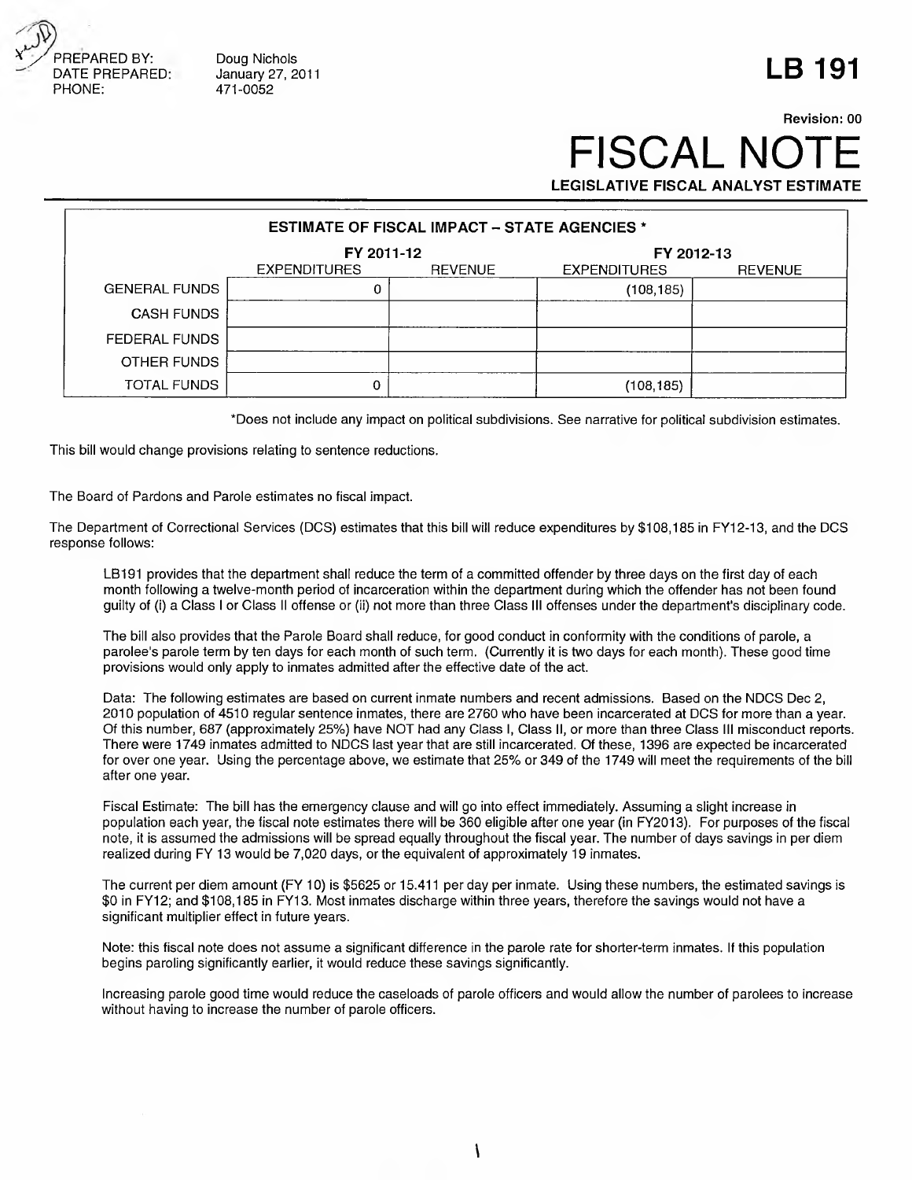

Doug Nichols January 27, 2011 471-0052

## **LB 191**

## FISCAL NO **LEGISLATIVE FISCAL ANALYST ESTIMATE Revision: 00**

| <b>ESTIMATE OF FISCAL IMPACT - STATE AGENCIES *</b> |                     |                |                     |                |  |
|-----------------------------------------------------|---------------------|----------------|---------------------|----------------|--|
|                                                     | FY 2011-12          |                | FY 2012-13          |                |  |
|                                                     | <b>EXPENDITURES</b> | <b>REVENUE</b> | <b>EXPENDITURES</b> | <b>REVENUE</b> |  |
| <b>GENERAL FUNDS</b>                                |                     |                | (108,185)           |                |  |
| <b>CASH FUNDS</b>                                   |                     |                |                     |                |  |
| FEDERAL FUNDS                                       |                     |                |                     |                |  |
| OTHER FUNDS                                         |                     |                |                     |                |  |
| TOTAL FUNDS                                         | 0                   |                | (108,185)           |                |  |

\*Does not include any impact on political subdivisions. See narrative for political subdivision estimates.

This bill would change provisions relating to sentence reductions.

The Board of Pardons and Parole estimates no fiscal impact.

The Department of Correctional Services (DCS) estimates that this bill will reduce expenditures by \$108,185 in FY12-13, and the DCS response follows:

LB191 provides that the department shall reduce the term of a committed offender by three days on the first day of each month following a twelve-month period of incarceration within the department during which the offender has not been found guilty of (i) a Class I or Class II offense or (ii) not more than three Class III offenses under the department's disciplinary code.

The bill also provides that the Parole Board shall reduce, for good conduct in conformity with the conditions of parole, a parolee's parole term by ten days for each month of such term. (Currently it is two days for each month). These good time provisions would only apply to inmates admitted after the effective date of the act.

Data: The following estimates are based on current inmate numbers and recent admissions. Based on the NDCS Dec 2, 2010 population of 4510 regular sentence inmates, there are 2760 who have been incarcerated at DCS for more than a year. Of this number, 687 (approximately 25%) have NOT had any Class I, Class II, or more than three Class III misconduct reports. There were 1749 inmates admitted to NDCS last year that are still incarcerated. Of these, 1396 are expected be incarcerated for over one year. Using the percentage above, we estimate that 25% or 349 of the 1749 will meet the requirements of the bill after one year.

Fiscal Estimate: The bill has the emergency clause and will go into effect immediately. Assuming a slight increase in population each year, the fiscal note estimates there will be 360 eligible after one year (in FY2013). For purposes of the fiscal note, it is assumed the admissions will be spread equally throughout the fiscal year. The number of days savings in per diem realized during FY 13 would be 7,020 days, or the equivalent of approximately 19 inmates.

The current per diem amount (FY 10) is \$5625 or 15.411 per day per inmate. Using these numbers, the estimated savings is \$0 in FY12; and \$108,185 in FY13. Most inmates discharge within three years, therefore the savings would not have a significant multiplier effect in future years.

Note: this fiscal note does not assume a significant difference in the parole rate for shorter-term inmates. If this population begins paroling significantly earlier, it would reduce these savings significantly.

Increasing parole good time would reduce the caseloads of parole officers and would allow the number of parolees to increase without having to increase the number of parole officers.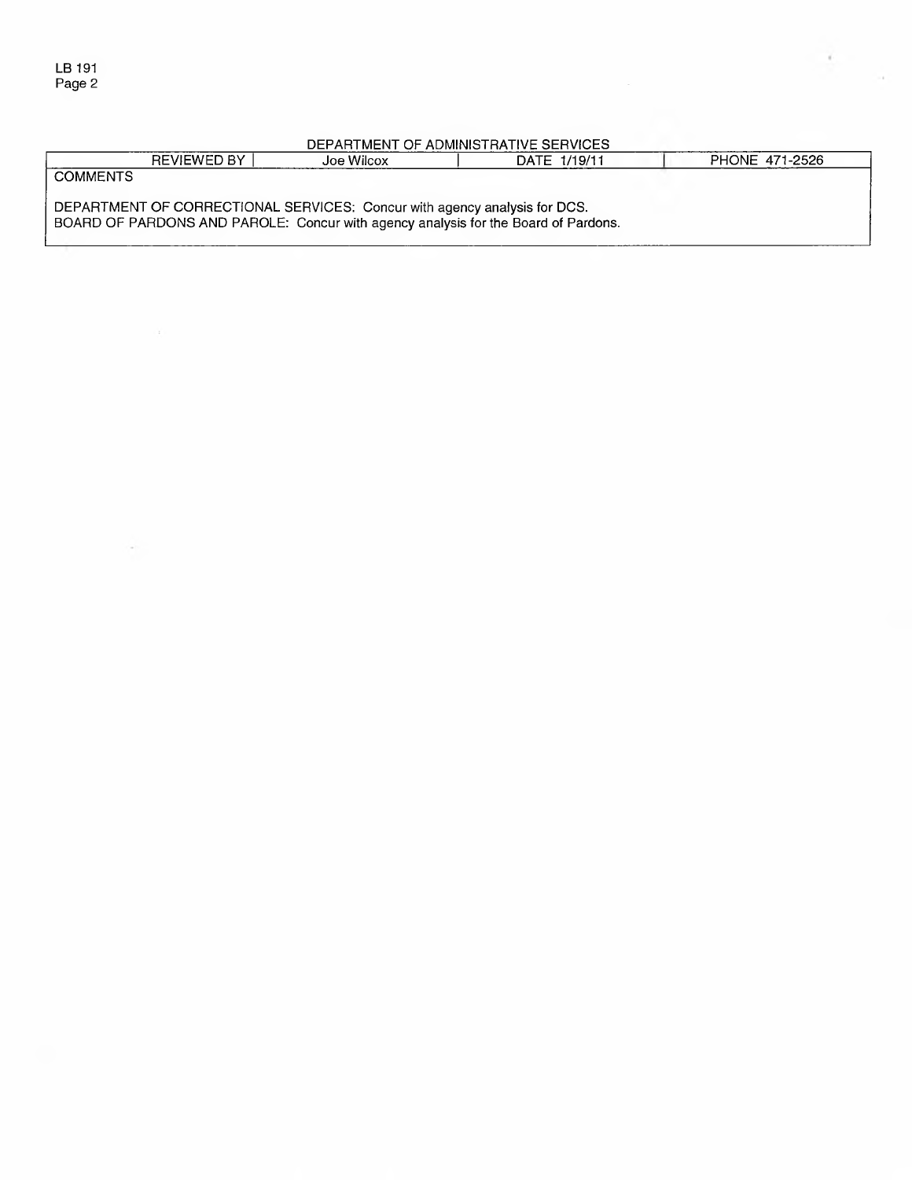$\mathcal{N}_{\rm eff}$ 

## DEPARTMENT OF ADMINISTRATIVE SERVICES

|                                                                                    | REVIEWED BY | Joe Wilcox | DATE 1/19/11 |  | PHONE 471-2526 |  |
|------------------------------------------------------------------------------------|-------------|------------|--------------|--|----------------|--|
| <b>COMMENTS</b>                                                                    |             |            |              |  |                |  |
|                                                                                    |             |            |              |  |                |  |
| DEPARTMENT OF CORRECTIONAL SERVICES: Concur with agency analysis for DCS.          |             |            |              |  |                |  |
| BOARD OF PARDONS AND PAROLE: Concur with agency analysis for the Board of Pardons. |             |            |              |  |                |  |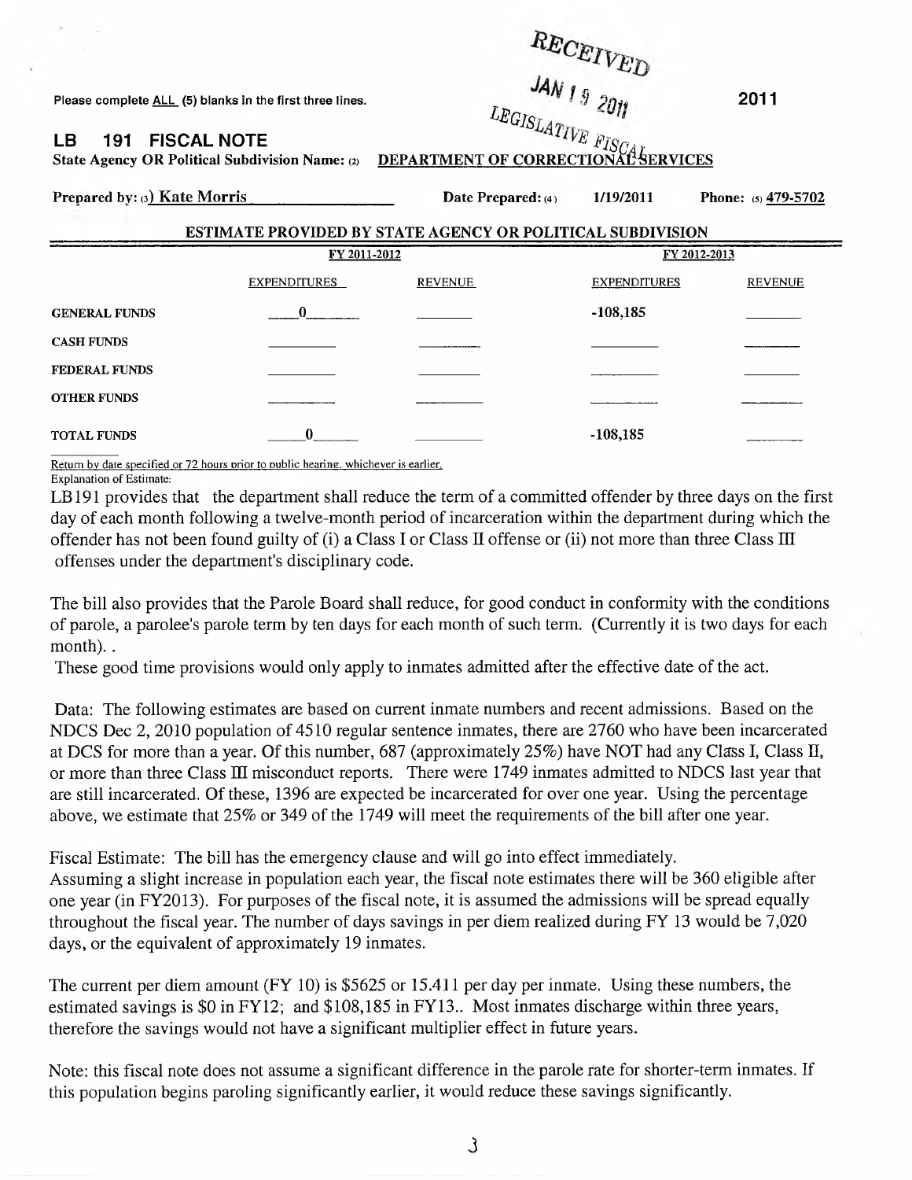Please complete <u>ALL</u> (5) blanks in the first three lines.  $\frac{2011}{200}$  $\sigma$  G  $V$ **LB 191 • FISCAL NOTE** *CONDUCTE CONDUCTERT OF CORRECTIONAL SERVICES* **Prepared by: (3) Kate Morris Date Prepared: (4) 1/19/2011 Phone: (5) 479-5702** ESTIMATE PROVIDED BY STATE AGENCY OR POLITICAL SUBDIVISION **EX 2011-2012 EX 2012-2013** EXPENDITURES REVENUE EXPENDITURES REVENUE **GENERAL FUNDS** 2022 2022 2022 2031 208,185 **CASH FUNDS \_\_\_\_\_\_\_\_ \_\_\_\_\_\_\_ \_\_\_\_\_\_\_\_ \_\_\_\_\_\_\_ FEDERAL FUNDS \_\_\_\_\_\_\_\_ \_\_\_\_\_\_\_ \_\_\_\_\_\_\_\_ \_\_\_\_\_\_\_ OTHER FUNDS \_\_\_\_\_\_\_\_ \_\_\_\_\_\_\_\_ \_\_\_\_\_\_\_\_ \_\_\_\_\_\_\_**

Return bv date specified or 72 hours prior to public hearing, whichever is earlier. Explanation of Estimate:

**LB 191 provides that the department shall reduce the term of a committed offender by three days on the first day of each month following a twelve-month period of incarceration within the department during which the offender has not been found guilty of (i) a Class I or Class II offense or (ii) not more than three Class m offenses under the department's disciplinary code.**

**TOTAL FUNDS** 0\_\_ \_\_\_\_\_\_\_\_\_\_\_\_\_ -108,185 \_\_\_\_\_\_

**The bill also provides that the Parole Board shall reduce, for good conduct in conformity with the conditions of parole, a parolee's parole term by ten days for each month of such term. (Currently it is two days for each** month). .

**These good time provisions would only apply to inmates admitted after the effective date of the act.**

**Data: The following estimates are based on current inmate numbers and recent admissions. Based on the NDCS Dec 2, 2010 population of 4510 regular sentence inmates, there are 2760 who have been incarcerated at DCS for more than a year. Of this number, 687 (approximately 25%) have NOT had any Class I, Class II, or more than three Class HI misconduct reports. There were 1749 inmates admitted to NDCS last year that are still incarcerated. Of these, 1396 are expected be incarcerated for over one year. Using the percentage above, we estimate that 25% or 349 of the 1749 will meet the requirements of the bill after one year.**

**Fiscal Estimate: The bill has the emergency clause and will go into effect immediately. Assuming a slight increase in population each year, the fiscal note estimates there will be 360 eligible after one year (in FY2013). For purposes of the fiscal note, it is assumed the admissions will be spread equally throughout the fiscal year. The number of days savings in per diem realized during FY 13 would be 7,020 days, or the equivalent of approximately 19 inmates.**

**The current per diem amount (FY 10) is \$5625 or 15.411 per day per inmate. Using these numbers, the estimated savings is \$0 in FY12; and \$108,185 in FY13.. Most inmates discharge within three years, therefore the savings would not have a significant multiplier effect in future years.**

**Note: this fiscal note does not assume a significant difference in the parole rate for shorter-term inmates. If this population begins paroling significantly earlier, it would reduce these savings significantly.**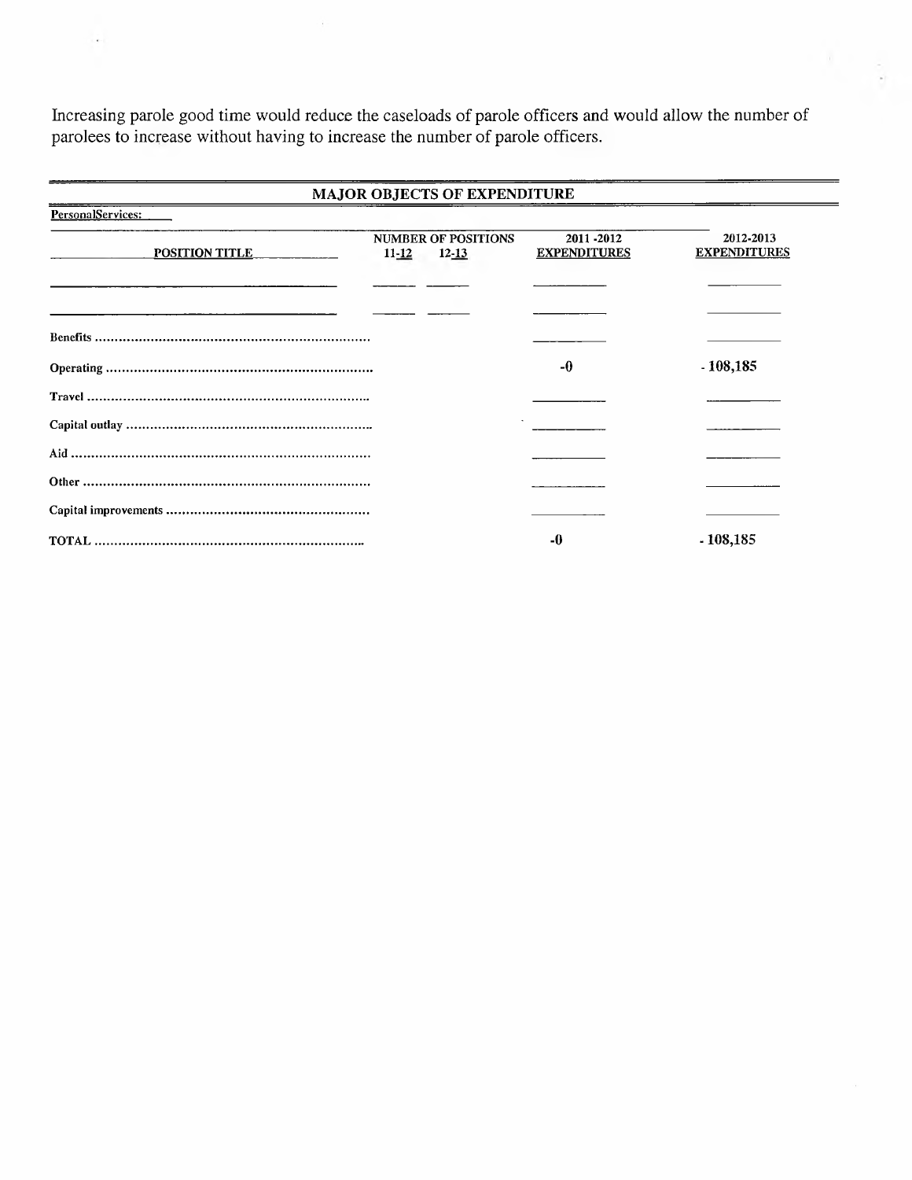**Increasing parole good time would reduce the caseloads of parole officers and would allow the number of parolees to increase without having to increase the number of parole officers.**

 $\bar{t}$ 

 $\epsilon$ 

| <b>MAJOR OBJECTS OF EXPENDITURE</b> |           |                                         |                                  |                                  |  |
|-------------------------------------|-----------|-----------------------------------------|----------------------------------|----------------------------------|--|
| PersonalServices:                   |           |                                         |                                  |                                  |  |
| <b>POSITION TITLE</b>               | $11 - 12$ | <b>NUMBER OF POSITIONS</b><br>$12 - 13$ | 2011-2012<br><b>EXPENDITURES</b> | 2012-2013<br><b>EXPENDITURES</b> |  |
|                                     |           |                                         |                                  |                                  |  |
|                                     |           |                                         |                                  |                                  |  |
|                                     |           |                                         | -0                               | $-108,185$                       |  |
|                                     |           |                                         |                                  |                                  |  |
|                                     |           |                                         |                                  |                                  |  |
|                                     |           |                                         |                                  |                                  |  |
|                                     |           |                                         |                                  |                                  |  |
|                                     |           |                                         |                                  |                                  |  |
|                                     |           |                                         | -0                               | - 108,185                        |  |